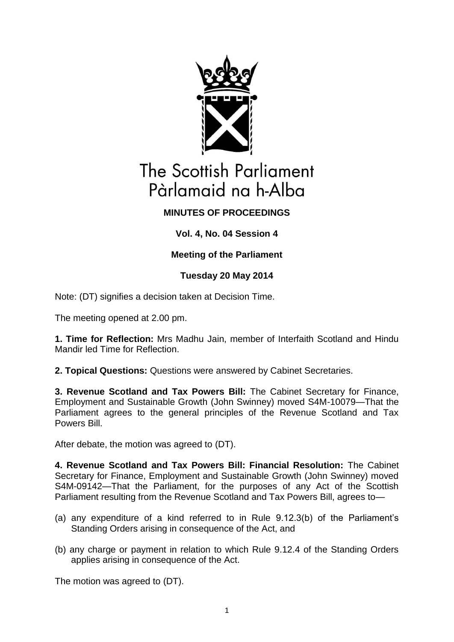

# The Scottish Parliament Pàrlamaid na h-Alba

## **MINUTES OF PROCEEDINGS**

## **Vol. 4, No. 04 Session 4**

## **Meeting of the Parliament**

## **Tuesday 20 May 2014**

Note: (DT) signifies a decision taken at Decision Time.

The meeting opened at 2.00 pm.

**1. Time for Reflection:** Mrs Madhu Jain, member of Interfaith Scotland and Hindu Mandir led Time for Reflection.

**2. Topical Questions:** Questions were answered by Cabinet Secretaries.

**3. Revenue Scotland and Tax Powers Bill:** The Cabinet Secretary for Finance, Employment and Sustainable Growth (John Swinney) moved S4M-10079—That the Parliament agrees to the general principles of the Revenue Scotland and Tax Powers Bill.

After debate, the motion was agreed to (DT).

**4. Revenue Scotland and Tax Powers Bill: Financial Resolution:** The Cabinet Secretary for Finance, Employment and Sustainable Growth (John Swinney) moved S4M-09142—That the Parliament, for the purposes of any Act of the Scottish Parliament resulting from the Revenue Scotland and Tax Powers Bill, agrees to—

- (a) any expenditure of a kind referred to in Rule 9.12.3(b) of the Parliament's Standing Orders arising in consequence of the Act, and
- (b) any charge or payment in relation to which Rule 9.12.4 of the Standing Orders applies arising in consequence of the Act.

The motion was agreed to (DT).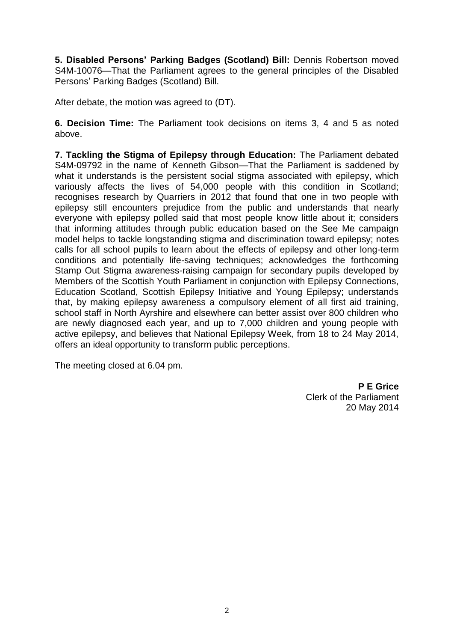**5. Disabled Persons' Parking Badges (Scotland) Bill:** Dennis Robertson moved S4M-10076—That the Parliament agrees to the general principles of the Disabled Persons' Parking Badges (Scotland) Bill.

After debate, the motion was agreed to (DT).

**6. Decision Time:** The Parliament took decisions on items 3, 4 and 5 as noted above.

**7. Tackling the Stigma of Epilepsy through Education:** The Parliament debated S4M-09792 in the name of Kenneth Gibson—That the Parliament is saddened by what it understands is the persistent social stigma associated with epilepsy, which variously affects the lives of 54,000 people with this condition in Scotland; recognises research by Quarriers in 2012 that found that one in two people with epilepsy still encounters prejudice from the public and understands that nearly everyone with epilepsy polled said that most people know little about it; considers that informing attitudes through public education based on the See Me campaign model helps to tackle longstanding stigma and discrimination toward epilepsy; notes calls for all school pupils to learn about the effects of epilepsy and other long-term conditions and potentially life-saving techniques; acknowledges the forthcoming Stamp Out Stigma awareness-raising campaign for secondary pupils developed by Members of the Scottish Youth Parliament in conjunction with Epilepsy Connections, Education Scotland, Scottish Epilepsy Initiative and Young Epilepsy; understands that, by making epilepsy awareness a compulsory element of all first aid training, school staff in North Ayrshire and elsewhere can better assist over 800 children who are newly diagnosed each year, and up to 7,000 children and young people with active epilepsy, and believes that National Epilepsy Week, from 18 to 24 May 2014, offers an ideal opportunity to transform public perceptions.

The meeting closed at 6.04 pm.

**P E Grice** Clerk of the Parliament 20 May 2014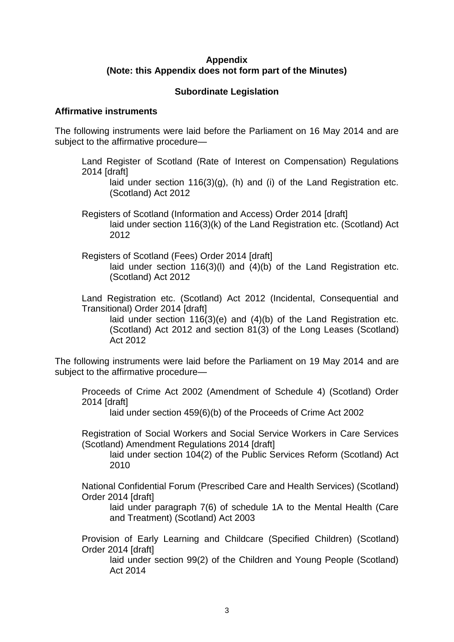#### **Appendix (Note: this Appendix does not form part of the Minutes)**

#### **Subordinate Legislation**

#### **Affirmative instruments**

The following instruments were laid before the Parliament on 16 May 2014 and are subject to the affirmative procedure—

Land Register of Scotland (Rate of Interest on Compensation) Regulations 2014 [draft]

laid under section 116(3)(g), (h) and (i) of the Land Registration etc. (Scotland) Act 2012

- Registers of Scotland (Information and Access) Order 2014 [draft] laid under section 116(3)(k) of the Land Registration etc. (Scotland) Act 2012
- Registers of Scotland (Fees) Order 2014 [draft] laid under section 116(3)(l) and (4)(b) of the Land Registration etc. (Scotland) Act 2012

Land Registration etc. (Scotland) Act 2012 (Incidental, Consequential and Transitional) Order 2014 [draft]

laid under section 116(3)(e) and (4)(b) of the Land Registration etc. (Scotland) Act 2012 and section 81(3) of the Long Leases (Scotland) Act 2012

The following instruments were laid before the Parliament on 19 May 2014 and are subject to the affirmative procedure—

Proceeds of Crime Act 2002 (Amendment of Schedule 4) (Scotland) Order 2014 [draft]

laid under section 459(6)(b) of the Proceeds of Crime Act 2002

Registration of Social Workers and Social Service Workers in Care Services (Scotland) Amendment Regulations 2014 [draft]

laid under section 104(2) of the Public Services Reform (Scotland) Act 2010

National Confidential Forum (Prescribed Care and Health Services) (Scotland) Order 2014 [draft]

laid under paragraph 7(6) of schedule 1A to the Mental Health (Care and Treatment) (Scotland) Act 2003

Provision of Early Learning and Childcare (Specified Children) (Scotland) Order 2014 [draft]

laid under section 99(2) of the Children and Young People (Scotland) Act 2014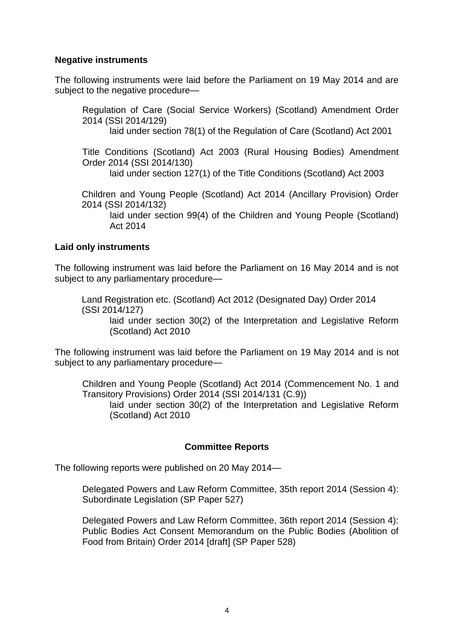#### **Negative instruments**

The following instruments were laid before the Parliament on 19 May 2014 and are subject to the negative procedure—

Regulation of Care (Social Service Workers) (Scotland) Amendment Order 2014 (SSI 2014/129) laid under section 78(1) of the Regulation of Care (Scotland) Act 2001 Title Conditions (Scotland) Act 2003 (Rural Housing Bodies) Amendment Order 2014 (SSI 2014/130) laid under section 127(1) of the Title Conditions (Scotland) Act 2003 Children and Young People (Scotland) Act 2014 (Ancillary Provision) Order 2014 (SSI 2014/132) laid under section 99(4) of the Children and Young People (Scotland) Act 2014

#### **Laid only instruments**

The following instrument was laid before the Parliament on 16 May 2014 and is not subject to any parliamentary procedure—

Land Registration etc. (Scotland) Act 2012 (Designated Day) Order 2014 (SSI 2014/127)

laid under section 30(2) of the Interpretation and Legislative Reform (Scotland) Act 2010

The following instrument was laid before the Parliament on 19 May 2014 and is not subject to any parliamentary procedure—

Children and Young People (Scotland) Act 2014 (Commencement No. 1 and Transitory Provisions) Order 2014 (SSI 2014/131 (C.9)) laid under section 30(2) of the Interpretation and Legislative Reform (Scotland) Act 2010

#### **Committee Reports**

The following reports were published on 20 May 2014—

Delegated Powers and Law Reform Committee, 35th report 2014 (Session 4): Subordinate Legislation (SP Paper 527)

Delegated Powers and Law Reform Committee, 36th report 2014 (Session 4): Public Bodies Act Consent Memorandum on the Public Bodies (Abolition of Food from Britain) Order 2014 [draft] (SP Paper 528)